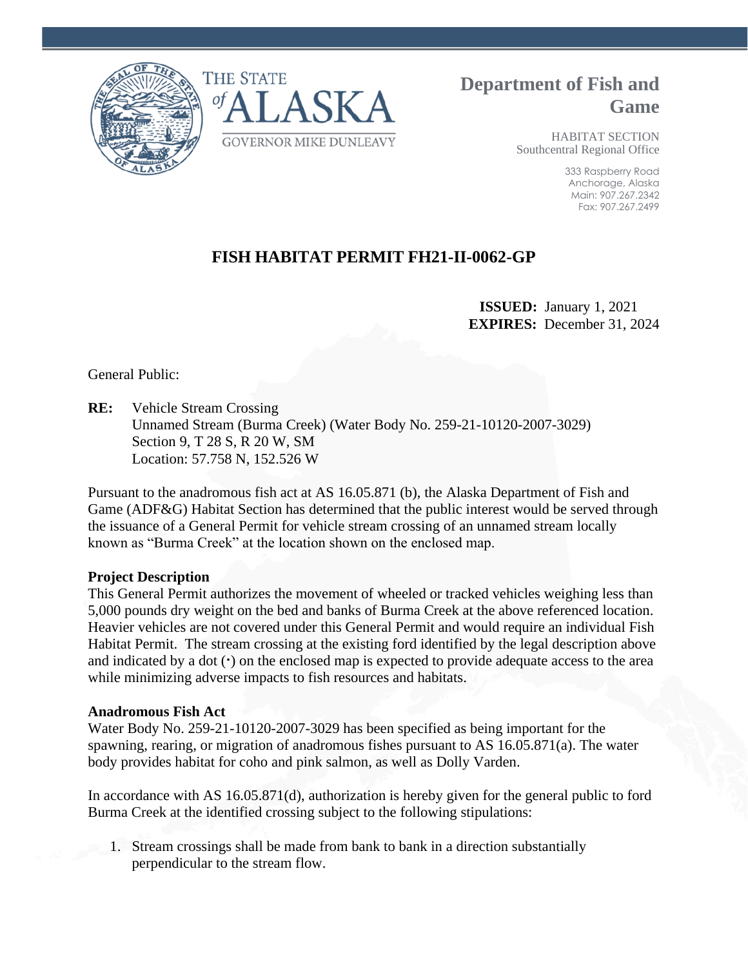



**Department of Fish and Game**

> HABITAT SECTION Southcentral Regional Office

> > 333 Raspberry Road Anchorage, Alaska Main: 907.267.2342 Fax: 907.267.2499

# **FISH HABITAT PERMIT FH21-II-0062-GP**

 **ISSUED:** January 1, 2021 **EXPIRES:** December 31, 2024

General Public:

**RE:** Vehicle Stream Crossing Unnamed Stream (Burma Creek) (Water Body No. 259-21-10120-2007-3029) Section 9, T 28 S, R 20 W, SM Location: 57.758 N, 152.526 W

Pursuant to the anadromous fish act at AS 16.05.871 (b), the Alaska Department of Fish and Game (ADF&G) Habitat Section has determined that the public interest would be served through the issuance of a General Permit for vehicle stream crossing of an unnamed stream locally known as "Burma Creek" at the location shown on the enclosed map.

# **Project Description**

This General Permit authorizes the movement of wheeled or tracked vehicles weighing less than 5,000 pounds dry weight on the bed and banks of Burma Creek at the above referenced location. Heavier vehicles are not covered under this General Permit and would require an individual Fish Habitat Permit. The stream crossing at the existing ford identified by the legal description above and indicated by a dot (**·**) on the enclosed map is expected to provide adequate access to the area while minimizing adverse impacts to fish resources and habitats.

#### **Anadromous Fish Act**

Water Body No. 259-21-10120-2007-3029 has been specified as being important for the spawning, rearing, or migration of anadromous fishes pursuant to AS 16.05.871(a). The water body provides habitat for coho and pink salmon, as well as Dolly Varden.

In accordance with AS 16.05.871(d), authorization is hereby given for the general public to ford Burma Creek at the identified crossing subject to the following stipulations:

1. Stream crossings shall be made from bank to bank in a direction substantially perpendicular to the stream flow.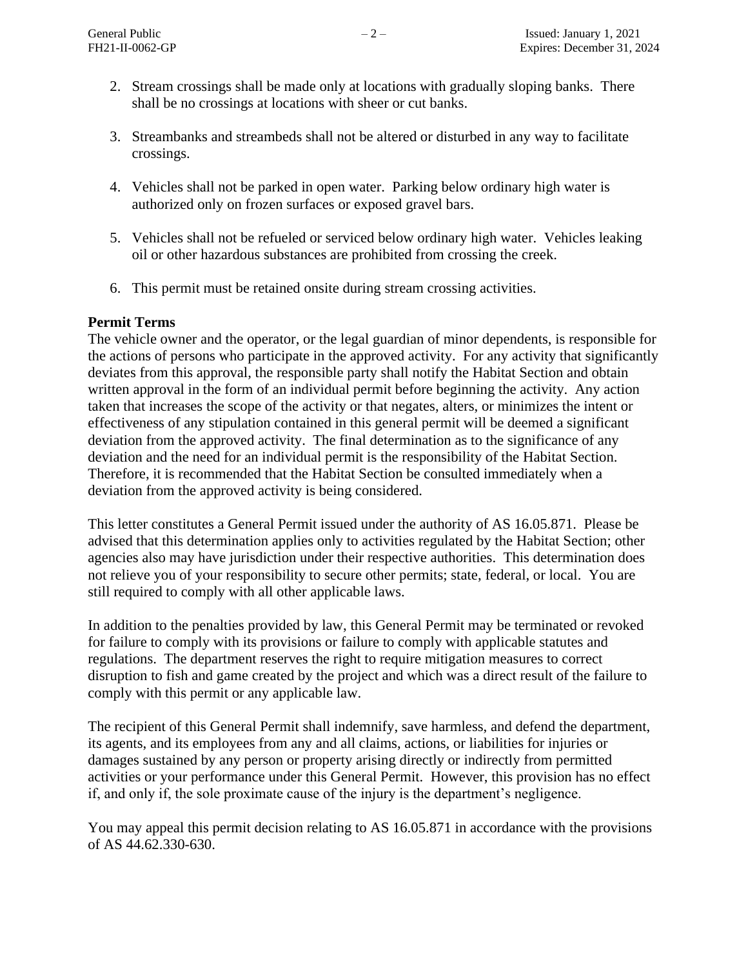- 2. Stream crossings shall be made only at locations with gradually sloping banks. There shall be no crossings at locations with sheer or cut banks.
- 3. Streambanks and streambeds shall not be altered or disturbed in any way to facilitate crossings.
- 4. Vehicles shall not be parked in open water. Parking below ordinary high water is authorized only on frozen surfaces or exposed gravel bars.
- 5. Vehicles shall not be refueled or serviced below ordinary high water. Vehicles leaking oil or other hazardous substances are prohibited from crossing the creek.
- 6. This permit must be retained onsite during stream crossing activities.

### **Permit Terms**

The vehicle owner and the operator, or the legal guardian of minor dependents, is responsible for the actions of persons who participate in the approved activity. For any activity that significantly deviates from this approval, the responsible party shall notify the Habitat Section and obtain written approval in the form of an individual permit before beginning the activity. Any action taken that increases the scope of the activity or that negates, alters, or minimizes the intent or effectiveness of any stipulation contained in this general permit will be deemed a significant deviation from the approved activity. The final determination as to the significance of any deviation and the need for an individual permit is the responsibility of the Habitat Section. Therefore, it is recommended that the Habitat Section be consulted immediately when a deviation from the approved activity is being considered.

This letter constitutes a General Permit issued under the authority of AS 16.05.871. Please be advised that this determination applies only to activities regulated by the Habitat Section; other agencies also may have jurisdiction under their respective authorities. This determination does not relieve you of your responsibility to secure other permits; state, federal, or local. You are still required to comply with all other applicable laws.

In addition to the penalties provided by law, this General Permit may be terminated or revoked for failure to comply with its provisions or failure to comply with applicable statutes and regulations. The department reserves the right to require mitigation measures to correct disruption to fish and game created by the project and which was a direct result of the failure to comply with this permit or any applicable law.

The recipient of this General Permit shall indemnify, save harmless, and defend the department, its agents, and its employees from any and all claims, actions, or liabilities for injuries or damages sustained by any person or property arising directly or indirectly from permitted activities or your performance under this General Permit. However, this provision has no effect if, and only if, the sole proximate cause of the injury is the department's negligence.

You may appeal this permit decision relating to AS 16.05.871 in accordance with the provisions of AS 44.62.330-630.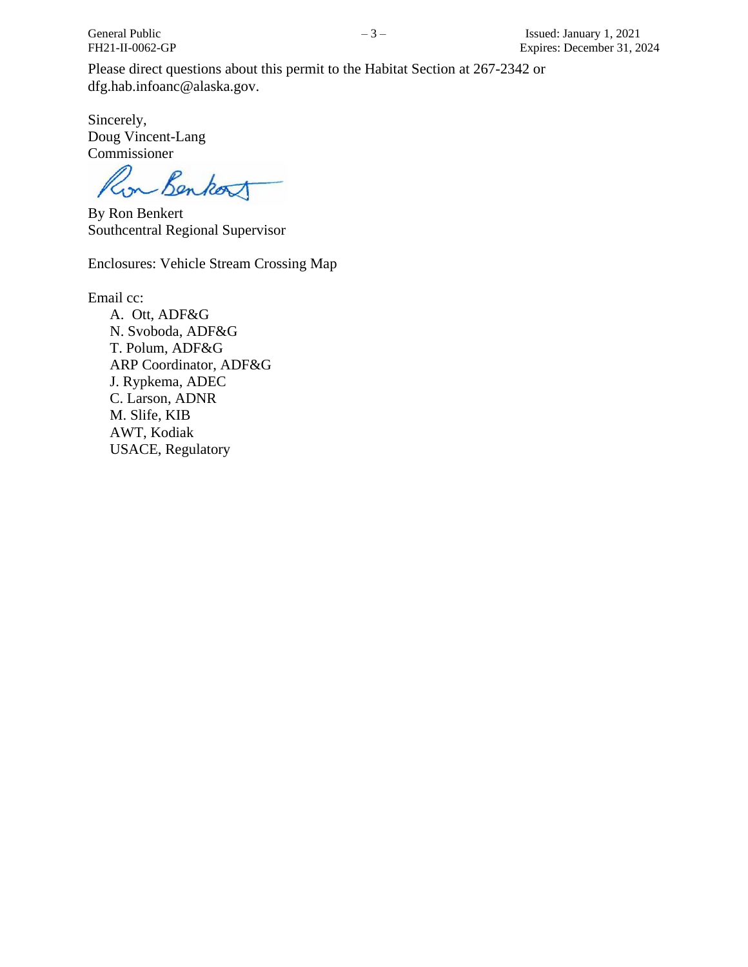Please direct questions about this permit to the Habitat Section at 267-2342 or dfg.hab.infoanc@alaska.gov.

Sincerely, Doug Vincent-Lang Commissioner

on Benkost

By Ron Benkert Southcentral Regional Supervisor

Enclosures: Vehicle Stream Crossing Map

Email cc:

A. Ott, ADF&G N. Svoboda, ADF&G T. Polum, ADF&G ARP Coordinator, ADF&G J. Rypkema, ADEC C. Larson, ADNR M. Slife, KIB AWT, Kodiak USACE, Regulatory